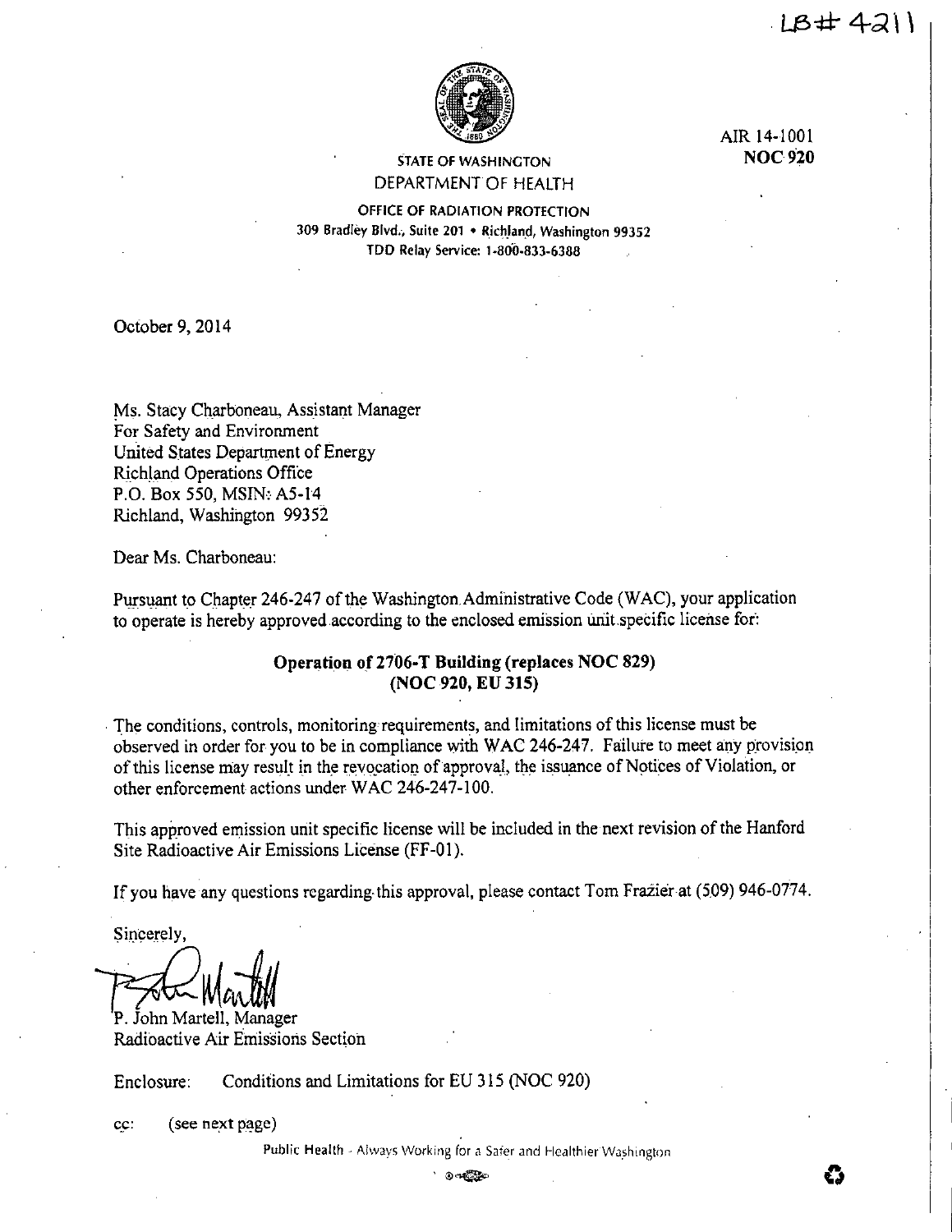

STATE OF WASHINGTON DEPARTMENT OF HEALTH AIR 14-1001 **NOC920** 

OFFICE OF RADIATION PROTECTION 309 Bradley Blvd., Suite 201 • Richland, Washington 99352 TDD Relay Service: J .800·833·6388

October 9, 2014

Ms. Stacy Ch\_arboneau, Assistant Manager For Safety and Environment United States Department of Energy Richland Operations Office P.O. Box 550, MSIN: A5-14 Richland, Washington 99352

Dear Ms. Charboneau:

Pursuant to Chapter 246-247 of the Washington Administrative Code (WAC), your application to operate is hereby approved according to the enclosed emission unit.specific license fot:

# **Operation of 2706-T Building (replaces NOC 829) (NOC 920, EU 315)**

. The conditions, controls, monitoring requirements, and limitations of this license must be observed in order for you to be in compliance with WAC 246-247. Failure to meet any provision of this license may result in the revocation of approval, the issuance of Notices of Violation, or other enforcement actions under WAC 246-247-100.

This approved emission unit specific license will be included in the next revision of the Hanford Site Radioactive Air Emissions License (FF-01).

If you have any questions regarding.this approval, please contact Tom Frazier at (509) 946-0774.

Sincerely,

P. John Martell, Manager

Radioactive Air Emissions Section

Enclosure: Conditions and Limitations for EU 315 (NOC 920)

cc: (see next page)

Public Health - Always Working for a Safer and Healthier Washington **OF A SERVE AND TREADMENT VALUES**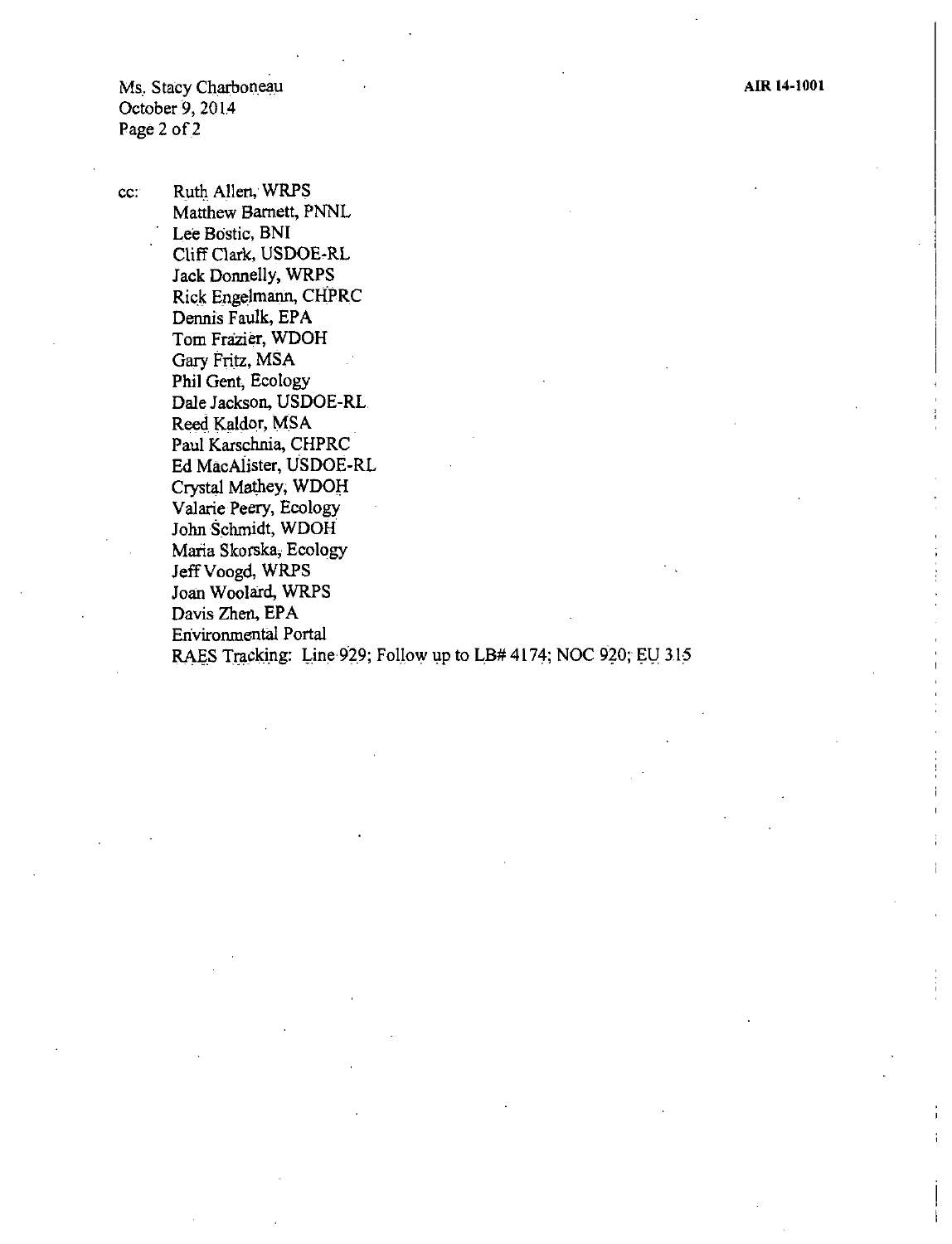Ms. Stacy Charboneau October 9, 2014 Page 2 of 2

cc: Ruth Allen, WRPS Matthew Barnett, PNNL Lee Bostic, BNI Cliff Clark, USDOE-RL Jack Donnelly, WRPS Rick Engelmann, CHPRC Dennis Faulk, EPA Tom Frazier, WDOH Gary Fritz, MSA Phil Gent, Ecology Dale Jackson, USDOE-RL Reed Kaldor, MSA Paul Karschnia, CHPRC Ed MacAiister, USDOE-RL Crystal Mathey; WDOH Valarie Peery, Ecology John Schmidt, WDOH Maria Skorska, Ecology Jeff Voogd, WRPS Joan Woolard, WRPS Davis Zhen, EPA Environmental Portal RAES Tracking: Line 929; Follow up to LB# 4174; NOC 920; EU 315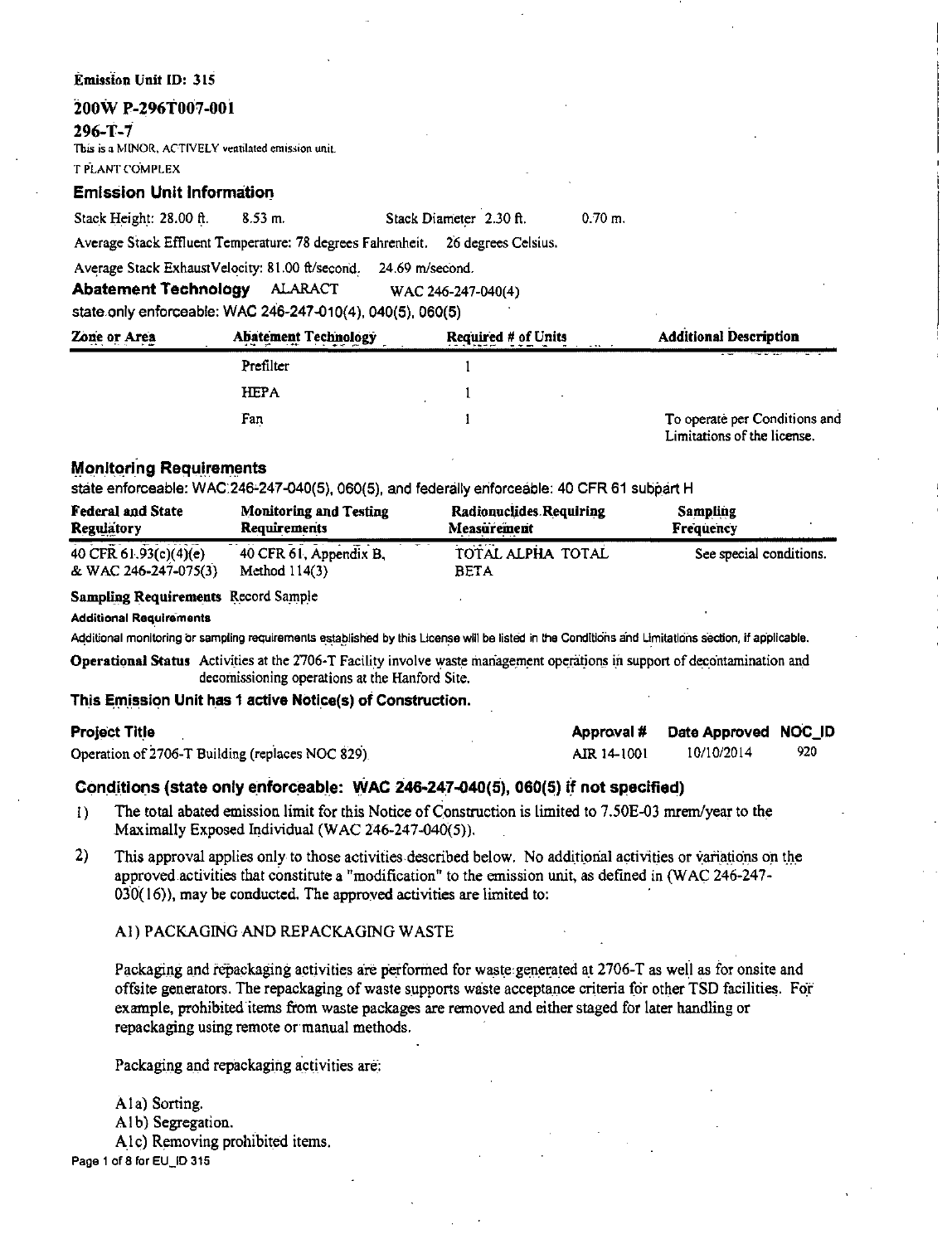#### Emission Unit ID: 315

# 200W P-296T007-001

#### $296 - T - 7$

This is a MINOR, ACTIVELY ventilated emission unit.

**T PLANT COMPLEX** 

# **Emission Unit Information**

|  | Stack Height: 28.00 ft. | $8.53$ m. |  |  |  | Stack Diameter 2.30 ft. |  |
|--|-------------------------|-----------|--|--|--|-------------------------|--|
|  |                         |           |  |  |  |                         |  |

Average Stack Effluent Temperature: 78 degrees Fahrenheit. 26 degrees Celsius.

Average Stack ExhaustVelocity: 81.00 ft/second. 24.69 m/second.

**Abatement Technology ALARACT** WAC 246-247-040(4)

state only enforceable: WAC 246-247-010(4), 040(5), 060(5)

| Zone or Area | <b>Abatement Technology</b> | <b>Required # of Units</b> | <b>Additional Description</b>                                |
|--------------|-----------------------------|----------------------------|--------------------------------------------------------------|
|              | Prefilter                   |                            |                                                              |
|              | <b>HEPA</b>                 |                            |                                                              |
|              | Fan                         |                            | To operate per Conditions and<br>Limitations of the license. |

# **Monitoring Requirements**

state enforceable: WAC:246-247-040(5), 060(5), and federally enforceable: 40 CFR 61 subpart H

| <b>Federal and State</b>                        | <b>Monitoring and Testing</b>             | <b>Radionuclides Requiring</b>               | Sampling                |
|-------------------------------------------------|-------------------------------------------|----------------------------------------------|-------------------------|
| <b>Regulatory</b>                               | <b>Requirements</b>                       | Measurement                                  | Frequency               |
| $40$ CFR 61.93(c)(4)(e)<br>& WAC 246-247-075(3) | 40 CFR 61, Appendix B,<br>Method $114(3)$ | $\cdots$<br>TOTAL ALPHA TOTAL<br><b>BETA</b> | See special conditions. |

**Sampling Requirements Record Sample** 

#### **Additional Requirements**

Additional monitoring or sampling requirements established by this License will be listed in the Conditions and Limitations section, if applicable.

Operational Status Activities at the 2706-T Facility involve waste management operations in support of decontamination and decomissioning operations at the Hanford Site.

## This Emission Unit has 1 active Notice(s) of Construction.

## **Project Title**

Operation of 2706-T Building (replaces NOC 829)

| Approval #  | Date Approved NOC_ID |     |
|-------------|----------------------|-----|
| AIR 14-1001 | 10/10/2014           | 920 |

 $0.70 m$ 

# Conditions (state only enforceable: WAC 246-247-040(5), 060(5) if not specified)

- The total abated emission limit for this Notice of Construction is limited to 7.50E-03 mrem/year to the  $\mathbf{D}$ Maximally Exposed Individual (WAC 246-247-040(5)).
- $2)$ This approval applies only to those activities described below. No additional activities or variations on the approved activities that constitute a "modification" to the emission unit, as defined in (WAC 246-247- $030(16)$ , may be conducted. The approved activities are limited to:

# A1) PACKAGING AND REPACKAGING WASTE

Packaging and repackaging activities are performed for waste generated at 2706-T as well as for onsite and offsite generators. The repackaging of waste supports waste acceptance criteria for other TSD facilities. For example, prohibited items from waste packages are removed and either staged for later handling or repackaging using remote or manual methods.

Packaging and repackaging activities are:

Ala) Sorting. A1b) Segregation. Alc) Removing prohibited items. Page 1 of 8 for EU\_ID 315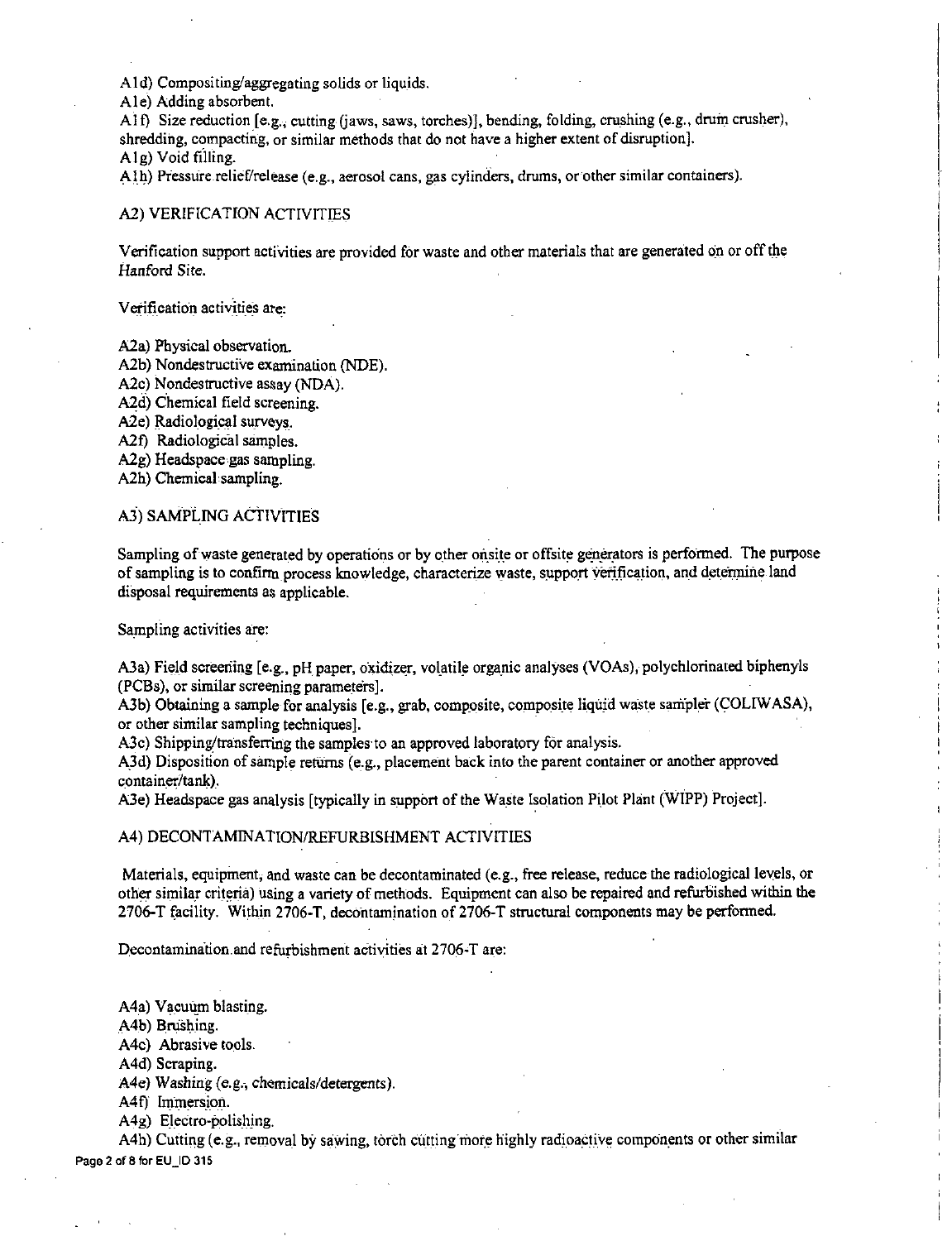Aid) Compositing/aggregating solids or liquids.

Ale) Adding absorbent.

Al f) Size reduction  $[e.g.,$  cutting (jaws, saws, torches)], bending, folding, crushing (e.g., drum crusher), shredding, compacting, or similar methods that do not have a higher extent of disruption]. Alg) Void filling.

Alh) Pressure relief/release (e.g., aerosol cans, gas cylinders, drums, or other similar containers).

#### A2) VERIFICATION ACTIVITIES

Verification support activities are provided for waste and other materials that are generated on or off the Hanford Site.

Verification activities ate:

A<sub>2</sub>a) Physical observation.

A2b) Nondestructive examination (NDE).

A2c) Nondestructive assay (NDA).

A2d) Chemical field screening.

A2e) Radiological surveys.

A<sub>2f</sub>) Radiological samples.

A2g) Headspace gas sampling.

A2h) Chemical sampling.

# A.3) SAMPLING ACTIVITIES

Sampling of waste generated by operations or by other onsite or offsite generators is performed. The purpose of sampling is to confirm process knowledge, characterize waste, support verification, and determine land disposal requirements as applicable.

Sampling activities are:

A3a) Field screening [e.g., pH paper, oxidizer, volatile organic analyses (VOAs), polychlorinated biphenyls (PCBs), or similar screening parameters].

A3b) Obtaining a sample for analysis [e.g., grab, composite, composite liquid waste sampler (COLIWASA), or other similar sampling techniques].

A3c) Shipping/transferring the samples to an approved laboratory for analysis.

A.3d) Disposition of sample returns (e.g., placement back into the parent container or another approved container/tank).

A3e) Headspace gas analysis [typically in support of the Waste Isolation Pilot Plant (WIPP) Project].

#### A4) DECONTAMINATION/REFURBISHMENT ACTIVITIES

Materials, equipment, and waste can be decontaminated (e.g., free release, reduce the radiological levels, or other similar criteria) using a variety of methods. Equipment can also be repaired and refurbished within the 2706-T (acility. Within 2706-T, decontamination of 2706-T structural components may be perfonned.

 $\mathbf{I}$ 

Decontamination and refurbishment activities at 2706-T are:

A4a) Vacuum blasting.

A4b) Brushing.

A4c) Abrasive tools.

A4d) Scraping.

A4e) Washing (e.g., chemicals/detergents).

A4f) Immersion.

A4g) Electro-polishing.

A4h) Cutting (e.g., removal by sawing, torch cutting more highly radioactive components or other similar Page 2 of 8 forEU\_ID 315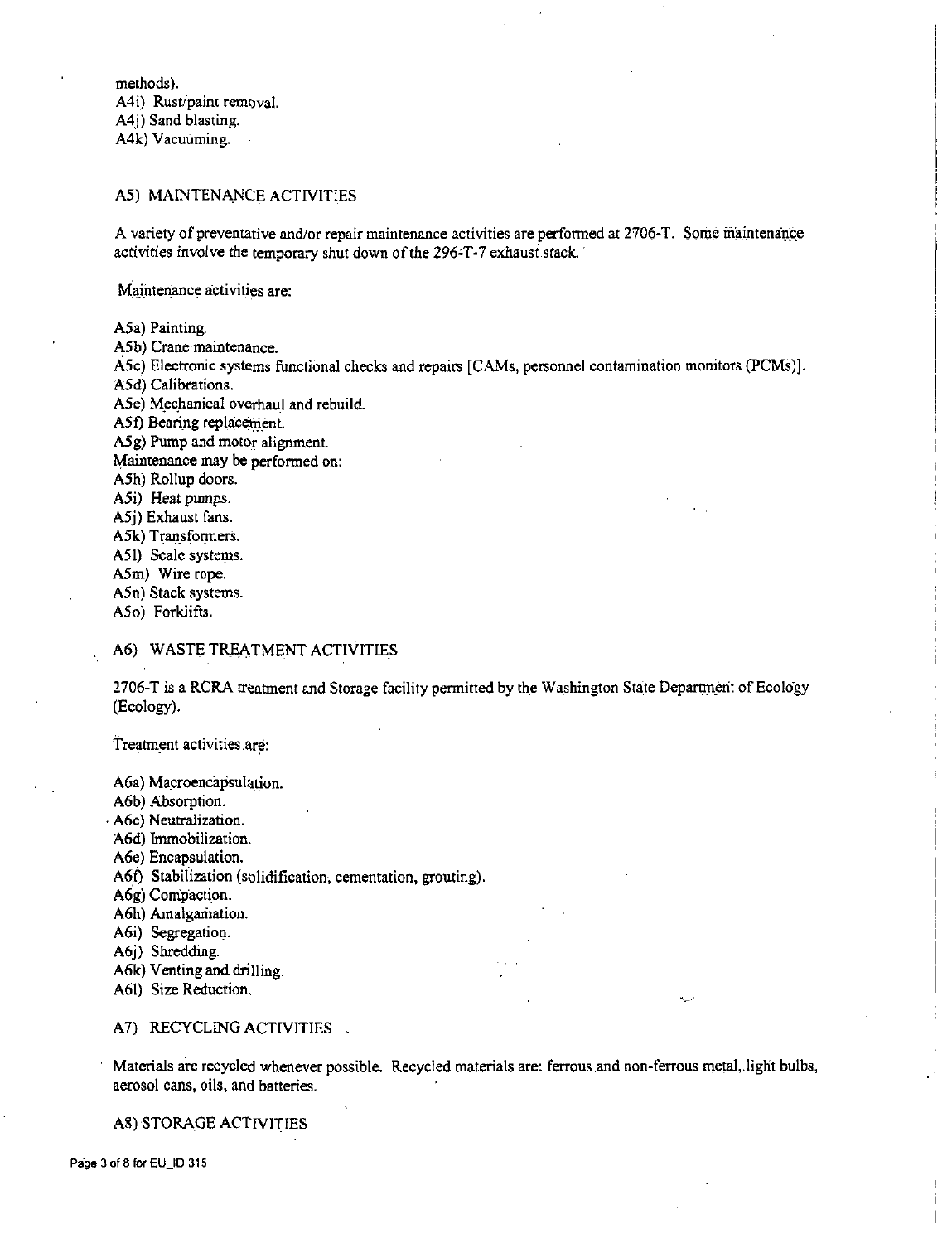methods). A4i) Rust/paint removal. A4j) Sand blasting. A4k) Vacuuming.

### A5) MAINTENANCE ACTIVITIES

A variety of preventative and/or repair maintenance activities are performed at 2706-T. Some maintenance activities involve the temporary shut down of the 296-T-7 exhaust stack.

**Maintenance activities are:** 

A5a) Painting.

A5b) Crane maintenance.

A5c) Electronic systems.functional checks and repairs [CAMs, personnel contamination monitors (PCMs)].

A5d) Calibrations.

A5e) Mechanical overhaul and rebuild.

A5f) Bearing replacement.

A5 g) Pump and motor alignment.

Maintenance may be performed on:

A5h) Rollup doors.

A5i) Heat pumps.

A5j) Exhaust fans.

A5k) Transformers.

A51) Scale systems.

A5m) Wire rope.

A5n) Stack.systems.

A5o) Forklifts.

### A6) WASTE TREATMENT ACTIVITIES

2706-T is a RCRA treatment and Storage facility permitted by the Washington State Department of Ecology (Ecology).

Treatment activities are:

A6a) Macroencapsulation.

A6b) Absorption.

. A6c) Neutralization.

A6d) Immobilization.

A6e) Encapsulation.

A6t) Stabilization (solidification, cementation, grouting).

A6g) Compaction.

A6h) Amalgamation.

A6i) Segregation.

A6j) Shredding.

A6k) Venting and drilling.

A61) Size Reduction.

#### A7) RECYCLING ACTIVITIES

Materials are recycled whenever possible. Recycled materials are: ferrous and non-ferrous metal, light bulbs, aerosol cans, oils, and batteries,

A8) STORAGE ACTIVITIES

Page 3 of 8 for EU\_ID 315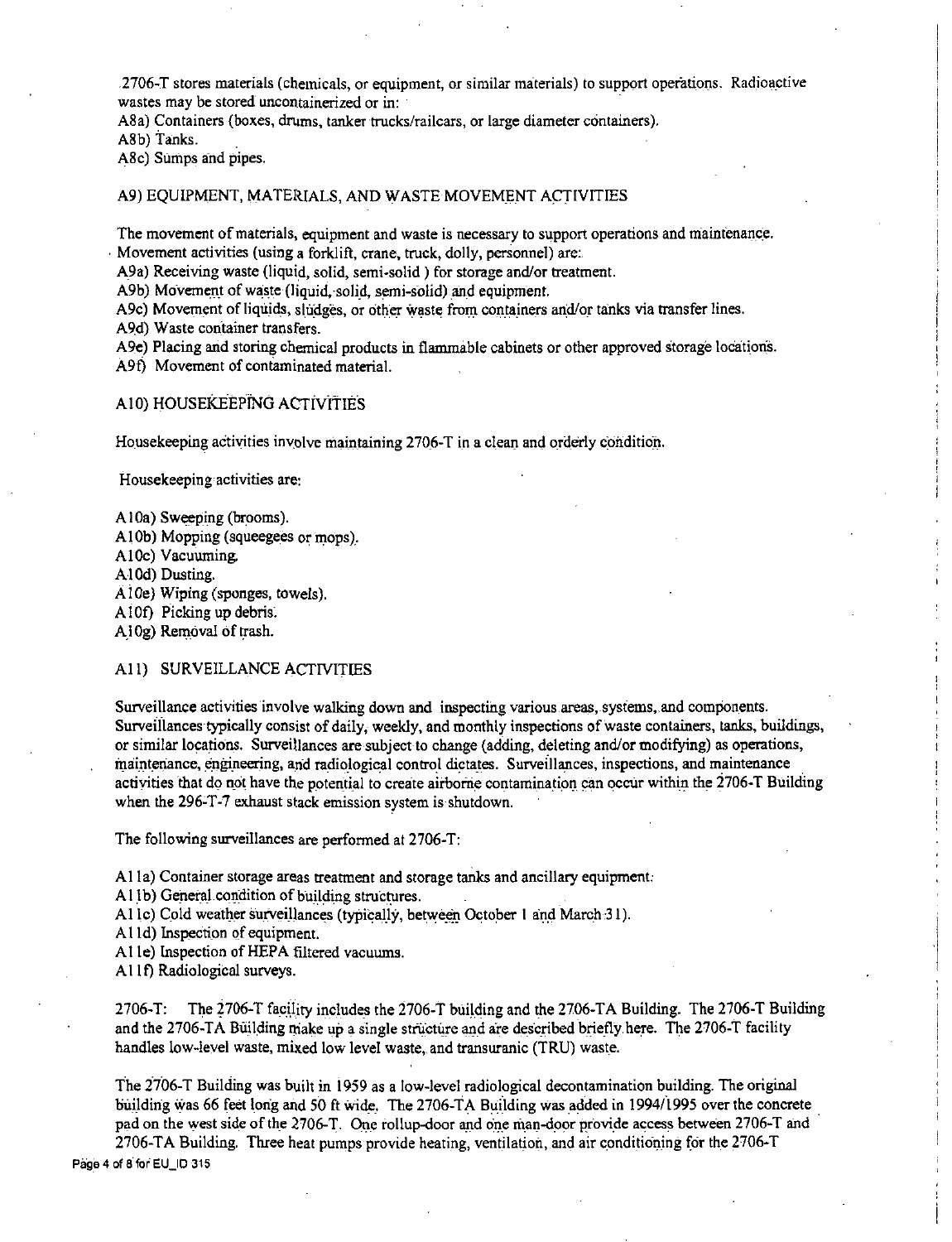2706-T stores materials (chemicals, or equipment, or similar materials) to support operations. Radioactive wastes may be stored uncontainerized or in:

A8a) Containers (boxes, drums, tanker trucks/railcars, or large diameter containers).

A8b) Tanks.

A8c) Sumps and pipes.

#### A9) EQUIPMENT, MATERIALS, AND WASTE MOVEMENT ACTIVITIES

The movement of materials, equipment and waste is necessary to support operations and maintenance. Movement activities (using a forklift, crane, truck, dolly, personnel) are:.

A9a) Receiving waste (liquid, solid, semi-solid) for storage and/or treatment.

A9b) Movement of waste (liquid, solid, semi-solid) and equipment.

A9c) Movement of liquids, sludges, or other waste from containers and/or tanks via transfer lines.

A9d) Waste container transfers.

A9e) Placing and storing chemical products in flammable cabinets or other approved storage locations.

A9f) Movement of contaminated material.

### AI0) HOUSEKEEPING ACTivitIES

Housekeeping activities involve maintaining 2706-T in a clean and orderly condition.

Housekeeping activities are:

- A<sub>10</sub>a) Sweeping (brooms).
- Al Ob) Mopping (squeegees or mops).
- A10c) Vacuuming.

Al 0d) Dusting.

AlOe) Wiping (sponges, towels).

A10f) Picking up debris.

A<sup>10g</sup>) Removal of trash.

#### A11) SURVEILLANCE ACTIVITIES

Surveillance activities involve walking down and inspecting various areas, systems, and components. Surveillances typically consist of daily, weekly, and monthly inspections of waste containers, tanks, buildings, or similar locations. Surveillances are subject to change (adding, deleting and/or modifying) as operations, maintenance, engineering, and radiological control dictates. Surveillances, inspections, and maintenance activities that do not have the potential to create airborne contamination can occur within the 2706-T Building when the 296-T-7 exhaust stack emission system is shutdown.

The following surveillances are performed at 2706-T:

**A** 11 a) Container storage areas treatment and storage tanks and ancillary equipment:

- A11b) General condition of building structures.
- Al lc) Cold weather surveillances (typically, between October 1 and March-31).
- Al Id) Inspection of equipment.
- Al le) Inspection of HEPA filtered vacuums.
- A11f) Radiological surveys.

2706-T: The 2706-T facility includes the 2706-T building and the 2706-TA Building. The 2706-T Building and the 2706-TA Building make up a single structure and are described briefly here. The 2706-T facility handles low-level waste, mixed low level waste,. and transuranic (TRU) waste.

The 2706-T Building was built in 1959 as a low-level radiological decontamination building. The original building was 66 feet long and 50 ft wide. The 2706-TA Building was added in 1994/1995 over the concrete pad on the west side of the 2706-T. One rollup-door and one man-door provide access between 2706-T and

2706-TA Building. Three heat pumps provide heating, ventjlation,.and air conditioning for the 2706-T Page 4 of 8 for EU\_ID 315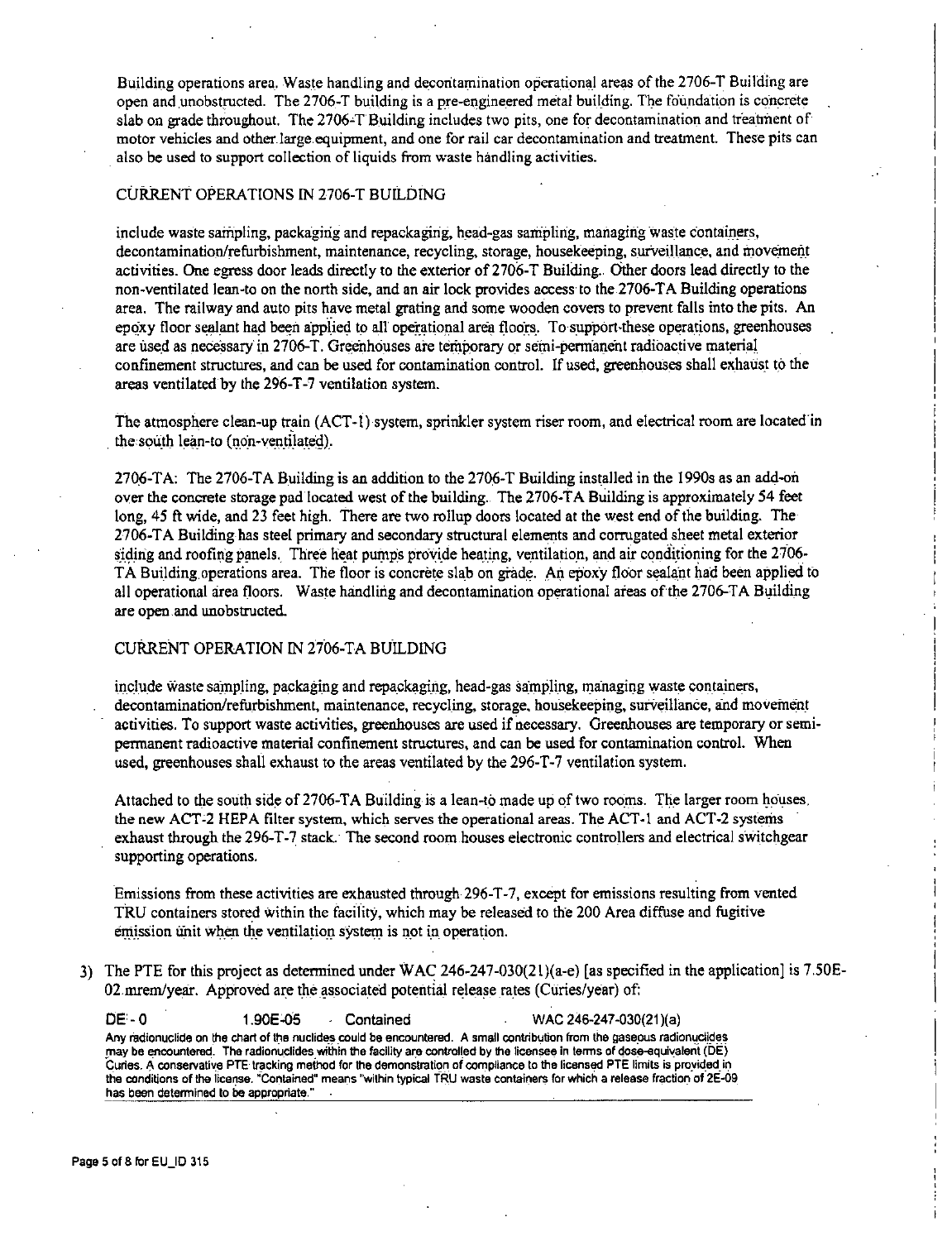Building operations area. Waste handling and decontamination operational areas of the 2706-T Building are open and unobstructed. The 2706-T building is a pre-engineered metal building. The foundation is concrete slab on grade throughout. The 2706-T Building includes two pits, one for decontamination and treatment of motor vehicles and other large equipment, and one for rail car decontamination and treatment. These pits can also be used to support collection of liquids from waste handling activities.

# CURRENT OPERATIONS IN 2706-T BUILDING

include waste sampling, packaging and repackaging, head-gas sampling, managing waste containers, decontamination/refurbishment, maintenance, recycling, storage, housekeeping, surveillance, and movement activities. One egress door leads directly to the exterior of 2706-T Building. Other doors lead directly to the non-ventilated lean-to on the north side, and an air lock provides access to the 2706-TA Building operations area. The railway and auto pits have metal grating and some wooden covers to prevent falls into the pits. An epoxy floor sealant had been applied to all operational area floors. To support-these operations, greenhouses are used as necessary in 2706-T. Greenhouses are temporary or semi-permanent radioactive material confinement structures, and can be used for contamination control. If used, greenhouses shall exhaust to the areas ventilated by the 296-T-7 ventilation system.

The atmosphere clean-up train (ACT-I) system, sprinkler system riser room, and electrical room are located in the south lean-to (non-ventilated).

2706-TA: The 2706-TA Building is an addition to the 2706-T Building installed in the 1990s as an add-on over the concrete storage pad located west of the building .. The 2706-TA Building is approximately 54 feet long, 45 ft wide, and 23 feet high. There are two rollap doors located at the west end of the building. The 2706-TA Building has steel primary and secondary structural elements and corrugated sheet metal exterior siding and roofing panels. Three heat pumps provide heating, ventilation, and air conditioning for the 2706-TA Building operations area. The floor is concrete slab on grade. An epoxy floor sealant had been applied to all operational area floors. Waste handling and decontamination operational areas of the 2706-T A Building are open and unobstructed.

## CURRENT OPERATION IN 2706-TA BUILDING

include waste sampling, packaging and repackaging, head-gas sampling, managing waste containers, decontamination/refurbishment, maintenance, recycling, storage, housekeeping, surveillance, and movement activities. To support waste activities, greenhouses are used if necessary. Greenhouses are temporary or semipermanent radioactive material confinement structures, and can be used for contamination control. When used, greenhouses shall exhaust to the areas ventilated by the 296-T-7 ventilation system.

Attached to the south side of 2706-TA Building is a lean-to made up of two rooms. The larger room houses. the new ACT-2 HEPA filter system, which serves the operational areas. The ACT-1 and ACT-2 systems exhaust through the 296-T-7 stack. The second room houses electronic controllers and electrical switchgear supporting operations.

Emissions from these activities are exhausted through 296-T -7, except for emissions resulting from vented TRU containers stored within the facility, which may be released to the 200 Area diffuse and fugitive emission unit when the ventilation system is not in operation.

3) The PTE for this project as determined under WAC 246-247-030(2l)(a-e) [as specified in the application] is 7.S0E-02. mrem/year. Approved are the associated potential release rates (Curies/year) of:

**OE-0** 1.90E-05 · Contained WAC 246-247-030(21 )(a) Any radionuclide on the chart of the nuclides could be encountered. A small contribution from the gaseous radionuclides may be encountered. The radionuclides within the facility are controlled by the licensee in terms of dose-equivalent (DE) Curies. A conservative PTE tracking method for the demonstration of compliance to the licensed PTE limits is provided in the conditions of the license. "Contained" means "within typical TRU waste containers for which a release fraction of 2E-09 **has been determined to be appropriate."**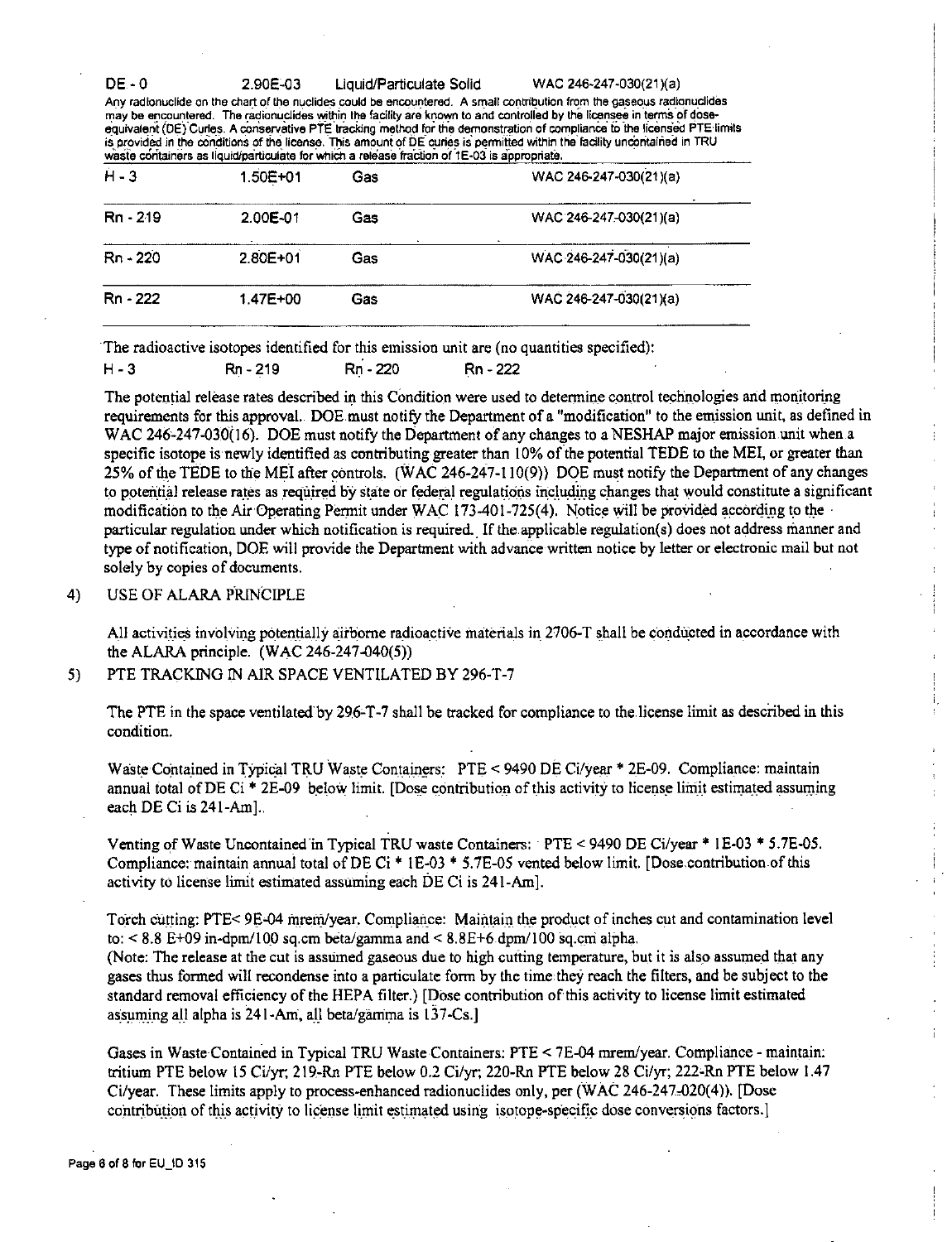$DE - 0$ 

2.90E-03

Liquid/Particulate Solid

WAC 246-247-030(21)(a)

i.

t.

Any radionuclide on the chart of the nuclides could be encountered. A small contribution from the gaseous radionuclides may be encountered. The radionuclides within the facility are known to and controlled by the licensee in terms of doseequivalent (DE) Curies. A conservative PTE tracking method for the demonstration of compliance to the licensed PTE limits is provided in the conditions of the license. This amount of DE curies is permitted within the facility uncontained in TRU waste containers as liquidiparticulate for which a release fraction of 1E-03 is appropriate.

| $H - 3$    | 1.50E+01     | Gas | WAC 246-247-030(21)(a) |
|------------|--------------|-----|------------------------|
| $Rn - 219$ | 2.00E-01     | Gas | WAC 246-247-030(21)(a) |
| Rn 220     | $2.80E + 01$ | Gas | WAC 246-247-030(21)(a) |
| Rn - 222   | 1.47E+00     | Gas | WAC 246-247-030(21)(a) |
|            |              |     |                        |

The radioactive isotopes identified for this emission unit are (no quantities specified):

| H - 3 | Rn - 219 | Rn - 220 | Rn - 222 |
|-------|----------|----------|----------|
|       |          |          |          |

The potential release rates described in this Condition were used to determine control technologies and monitoring requirements for this approval. DOE must notify the Department of a "modification" to the emission unit, as defined in WAC 246-247-030(16). DOE must notify the Department of any changes to a NESHAP major emission unit when a specific isotope is newly identified as contributing greater than 10% of the potential TEDE to the MEI, or greater than 25% of the TEDE to the MEI after controls. (WAC 246-247-110(9)) DOE must notify the Department of any changes to potential release rates as required by state or federal regulations including changes that would constitute a significant modification to the Air Operating Permit under WAC 173-401-725(4). Notice will be provided according to the particular regulation under which notification is required. If the applicable regulation(s) does not address manner and type of notification, DOE will provide the Department with advance written notice by letter or electronic mail but not solely by copies of documents.

#### USE OF ALARA PRINCIPLE  $4)$

All activities involving potentially airborne radioactive materials in 2706-T shall be conducted in accordance with the ALARA principle. (WAC 246-247-040(5))

PTE TRACKING IN AIR SPACE VENTILATED BY 296-T-7 5)

The PTE in the space ventilated by 296-T-7 shall be tracked for compliance to the license limit as described in this condition.

Waste Contained in Typical TRU Waste Containers: PTE < 9490 DE Ci/year \* 2E-09. Compliance: maintain annual total of DE Ci \* 2E-09 below limit. [Dose contribution of this activity to license limit estimated assuming each DE Ci is 241-Aml..

Venting of Waste Uncontained in Typical TRU waste Containers: PTE < 9490 DE Ci/year \* 1E-03 \* 5.7E-05. Compliance: maintain annual total of DE Ci \* 1E-03 \* 5.7E-05 vented below limit. [Dose contribution of this activity to license limit estimated assuming each DE Ci is 241-Am.

Torch cutting: PTE< 9E-04 mrem/year. Compliance: Maintain the product of inches cut and contamination level to:  $< 8.8$  E+09 in-dpm/100 sq.cm beta/gamma and  $< 8.8$ E+6 dpm/100 sq.cm alpha.

(Note: The release at the cut is assumed gaseous due to high cutting temperature, but it is also assumed that any gases thus formed will recondense into a particulate form by the time they reach the filters, and be subject to the standard removal efficiency of the HEPA filter.) [Dose contribution of this activity to license limit estimated assuming all alpha is 241-Am, all beta/gamma is 137-Cs.

Gases in Waste Contained in Typical TRU Waste Containers: PTE < 7E-04 mrem/year. Compliance - maintain: tritium PTE below 15 Ci/yr; 219-Rn PTE below 0.2 Ci/yr; 220-Rn PTE below 28 Ci/yr; 222-Rn PTE below 1.47 Ci/year. These limits apply to process-enhanced radionuclides only, per (WAC 246-247-020(4)). [Dose contribution of this activity to license limit estimated using isotope-specific dose conversions factors.]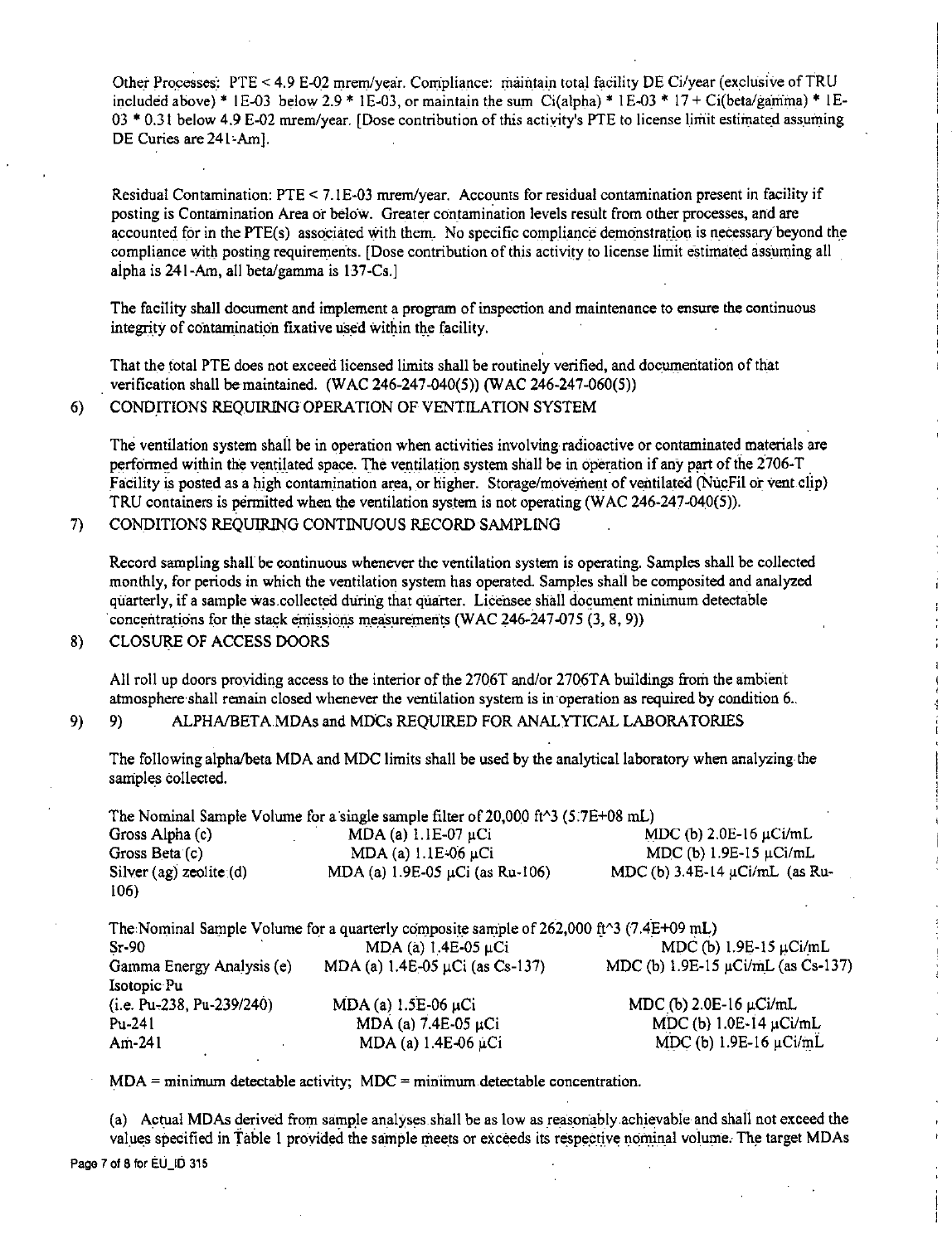Other Processes: PTE < 4.9 E-02 mrem/year. Compliance: maintain total facility DE Ci/year (exclusive of TRU included above) \* 1E-03 below 2.9 \* 1E-03, or maintain the sum Ci(alpha) \* 1E-03 \* 17 + Ci(beta/gamma) \* 1E- $03 * 0.31$  below 4.9 E-02 mrem/year. [Dose contribution of this activity's PTE to license limit estimated assuming. DE Curies are 241-Aml.

Residual Contamination: PTE < 7. lE-03 mrem/year. Accounts for residual contamination present in facility if posting is Contamination Area or below. Greater contamination levels result from other processes, and are accounted for in the PTE(s) associated with them. No specific compliance demonstration is necessary beyond the compliance with posting requirements. [Dose contribution of this activity to license limit estimated assuming all aipha is 241-Am, all beta/gamma is 137-Cs.]

The facility shall document and implement a program of inspection and maintenance to ensure the continuous integrity of contamination fixative used within the facility.

That the total PTE does not exceed licensed limits shall be routinely verified, and documentation of that verification shall be maintained. (WAC 246-247-040(5)) (WAC 246-247-060(5))

6) CONDITIONS REQUIRING OPERATION OF VENTILATION SYSTEM

The ventilation system shall be in operation when activities involving radioactive or contaminated materials are performed within the ventilated space. The ventilation system shall be in operation if any part of the 2706-T Facility is posted as a high contamination area, or higher. Storage/movement of ventilated (NucFil or vent clip) TRU containers is permitted when the ventilation system is not operating (WAC 246-247-040(5)).

7) CONDITIONS REQUIRING CONTINUOUS RECORD SAMPLING

Record sampling shall be continuous whenever the ventilation system is operating. Samples shall be collected monthly, for periods in which the ventilation system has operated. Samples shall be composited and analyzed quarterly, if a sample was.collected during that quarter. Licensee shall document minimum detectable concentrations for the stack emissions measurements (WAC 246-247-075 (3, 8, 9))

ł.

 $\overline{1}$ 

 $\frac{1}{2}$ 

 $\frac{1}{2}$ 

# 8) CLOSURE OF ACCESS DOORS

All roll up doors providing access to the interior of the 2706T and/or 2706TA buildings from the ambient atmosphere shall remain closed whenever the ventilation system is in operation as required by condition 6..

# 9) 9) ALPHA/BETAMDAs and MDCs REQUIRED FOR ANALYTICAL LABORATORIES

The following alpha/beta MDA and MDC limits shall be used by the analytical laboratory when analyzing· the samples collected.

The Nominal Sample Volume for a single sample filter of 20,000 ft^3 (5.7E+08 mL)<br>Gross Alpha (c) MDA (a)  $1.1E-07 \mu$ Ci Gross Alpha (c) . MDA (a)  $1.1E-07 \mu Ci$  . MDC (b)  $2.0E-16 \mu Ci/mL$  . Gross Beta (c) . MDA (a)  $1.1E-06 \mu Ci$  . MDC (b)  $1.9E-15 \mu Ci/mL$ MDA (a)  $1.1E-06$  µCi MDC (b)  $1.9E-15$  µCi/mL Silver (ag) zeolite (d) MDA (a)  $1.9E-0.5$  µCi (as Ru-106) MDC (b)  $3.4E-14$  µCi/mL (as Ru-106)

|                             | The Nominal Sample Volume for a quarterly composite sample of 262,000 ft^3 (7.4E+09 mL) |                                         |
|-----------------------------|-----------------------------------------------------------------------------------------|-----------------------------------------|
| $Sr-90$                     | MDA (a) $1.4E-05 \mu Ci$                                                                | MDC (b) $1.9E-15 \mu$ Ci/mL             |
| Gamma Energy Analysis (e)   | MDA (a) $1.4E-05 \mu Ci$ (as Cs-137)                                                    | MDC (b) $1.9E-15 \mu Ci/mL$ (as Cs-137) |
| Isotopic Pu                 |                                                                                         |                                         |
| $(i.e. Pu-238, Pu-239/240)$ | $MDA$ (a) $1.5E-06$ µCi                                                                 | MDC (b) $2.0E-16$ $\mu$ Ci/mL           |
| Pu-241                      | MDA (a) $7.4E-05 \mu Ci$                                                                | MDC (b) $1.0E-14 \mu Ci/mL$             |
| Am-241                      | MDA (a) $1.4E-06 \mu Ci$                                                                | MDC (b) $1.9E-16 \mu Ci/mL$             |

MDA = minimum detectable activity; MDC = minimum detectable concentration.

(a) Actual MDAs derived from sample analyses shall be as low as reasonably achievable and shall not exceed the values specified in Table 1 provided the sample meets or exceeds its respective nominal volume. The target MDAs Page 7 of 8 for EU\_ID 315